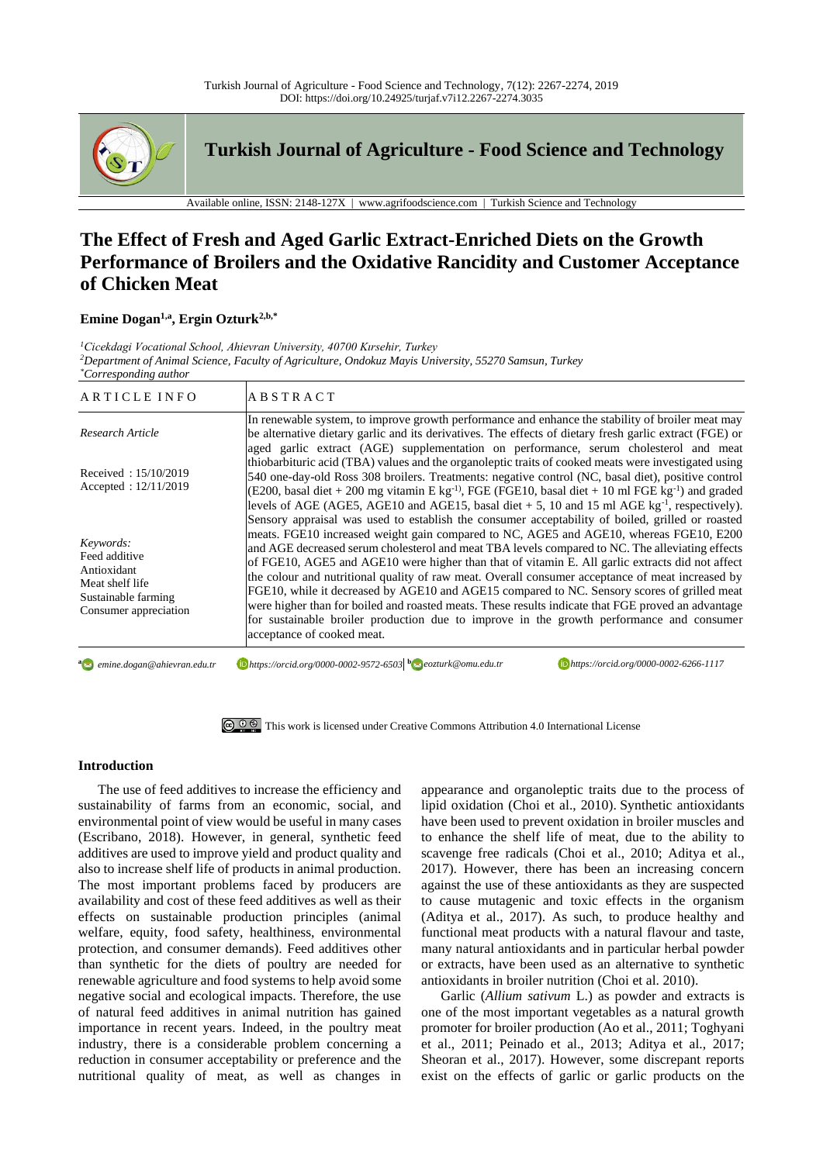

**Turkish Journal of Agriculture - Food Science and Technology**

Available online, ISSN: 2148-127X | www.agrifoodscience.com | Turkish Science and Technology

# **The Effect of Fresh and Aged Garlic Extract-Enriched Diets on the Growth Performance of Broilers and the Oxidative Rancidity and Customer Acceptance of Chicken Meat**

# **Emine Dogan1,a , Ergin Ozturk2,b,\***

*<sup>1</sup>Cicekdagi Vocational School, Ahievran University, 40700 Kırsehir, Turkey <sup>2</sup>Department of Animal Science, Faculty of Agriculture, Ondokuz Mayis University, 55270 Samsun, Turkey \*Corresponding author*

| ARTICLE INFO                                                                                                 | <b>ABSTRACT</b>                                                                                                                                                                                                                                                                                                                                                                                                                                                                                                                                                                                                                                                                                                                                                                                                                     |
|--------------------------------------------------------------------------------------------------------------|-------------------------------------------------------------------------------------------------------------------------------------------------------------------------------------------------------------------------------------------------------------------------------------------------------------------------------------------------------------------------------------------------------------------------------------------------------------------------------------------------------------------------------------------------------------------------------------------------------------------------------------------------------------------------------------------------------------------------------------------------------------------------------------------------------------------------------------|
| Research Article                                                                                             | In renewable system, to improve growth performance and enhance the stability of broiler meat may<br>be alternative dietary garlic and its derivatives. The effects of dietary fresh garlic extract (FGE) or<br>aged garlic extract (AGE) supplementation on performance, serum cholesterol and meat                                                                                                                                                                                                                                                                                                                                                                                                                                                                                                                                 |
| Received: $15/10/2019$<br>Accepted: 12/11/2019                                                               | thiobarbituric acid (TBA) values and the organoleptic traits of cooked meats were investigated using<br>540 one-day-old Ross 308 broilers. Treatments: negative control (NC, basal diet), positive control<br>(E200, basal diet + 200 mg vitamin E kg <sup>-1)</sup> , FGE (FGE10, basal diet + 10 ml FGE kg <sup>-1</sup> ) and graded<br>levels of AGE (AGE5, AGE10 and AGE15, basal diet $+5$ , 10 and 15 ml AGE kg <sup>-1</sup> , respectively).                                                                                                                                                                                                                                                                                                                                                                               |
| Keywords:<br>Feed additive<br>Antioxidant<br>Meat shelf life<br>Sustainable farming<br>Consumer appreciation | Sensory appraisal was used to establish the consumer acceptability of boiled, grilled or roasted<br>meats. FGE10 increased weight gain compared to NC, AGE5 and AGE10, whereas FGE10, E200<br>and AGE decreased serum cholesterol and meat TBA levels compared to NC. The alleviating effects<br>of FGE10, AGE5 and AGE10 were higher than that of vitamin E. All garlic extracts did not affect<br>the colour and nutritional quality of raw meat. Overall consumer acceptance of meat increased by<br>FGE10, while it decreased by AGE10 and AGE15 compared to NC. Sensory scores of grilled meat<br>were higher than for boiled and roasted meats. These results indicate that FGE proved an advantage<br>for sustainable broiler production due to improve in the growth performance and consumer<br>acceptance of cooked meat. |

**a** emine.dogan@ahievran.edu.tr

*emine.dogan@ahievran.edu.tr https://orcid.org/0000-0002-9572-6503***<sup>b</sup>** *eozturk@omu.edu.tr https://orcid.org/0000-0002-6266-1117*



### **Introduction**

The use of feed additives to increase the efficiency and sustainability of farms from an economic, social, and environmental point of view would be useful in many cases (Escribano, 2018). However, in general, synthetic feed additives are used to improve yield and product quality and also to increase shelf life of products in animal production. The most important problems faced by producers are availability and cost of these feed additives as well as their effects on sustainable production principles (animal welfare, equity, food safety, healthiness, environmental protection, and consumer demands). Feed additives other than synthetic for the diets of poultry are needed for renewable agriculture and food systems to help avoid some negative social and ecological impacts. Therefore, the use of natural feed additives in animal nutrition has gained importance in recent years. Indeed, in the poultry meat industry, there is a considerable problem concerning a reduction in consumer acceptability or preference and the nutritional quality of meat, as well as changes in

appearance and organoleptic traits due to the process of lipid oxidation (Choi et al., 2010). Synthetic antioxidants have been used to prevent oxidation in broiler muscles and to enhance the shelf life of meat, due to the ability to scavenge free radicals (Choi et al., 2010; Aditya et al., 2017). However, there has been an increasing concern against the use of these antioxidants as they are suspected to cause mutagenic and toxic effects in the organism (Aditya et al., 2017). As such, to produce healthy and functional meat products with a natural flavour and taste, many natural antioxidants and in particular herbal powder or extracts, have been used as an alternative to synthetic antioxidants in broiler nutrition (Choi et al. 2010).

Garlic (*Allium sativum* L.) as powder and extracts is one of the most important vegetables as a natural growth promoter for broiler production (Ao et al., 2011; Toghyani et al., 2011; Peinado et al., 2013; Aditya et al., 2017; Sheoran et al., 2017). However, some discrepant reports exist on the effects of garlic or garlic products on the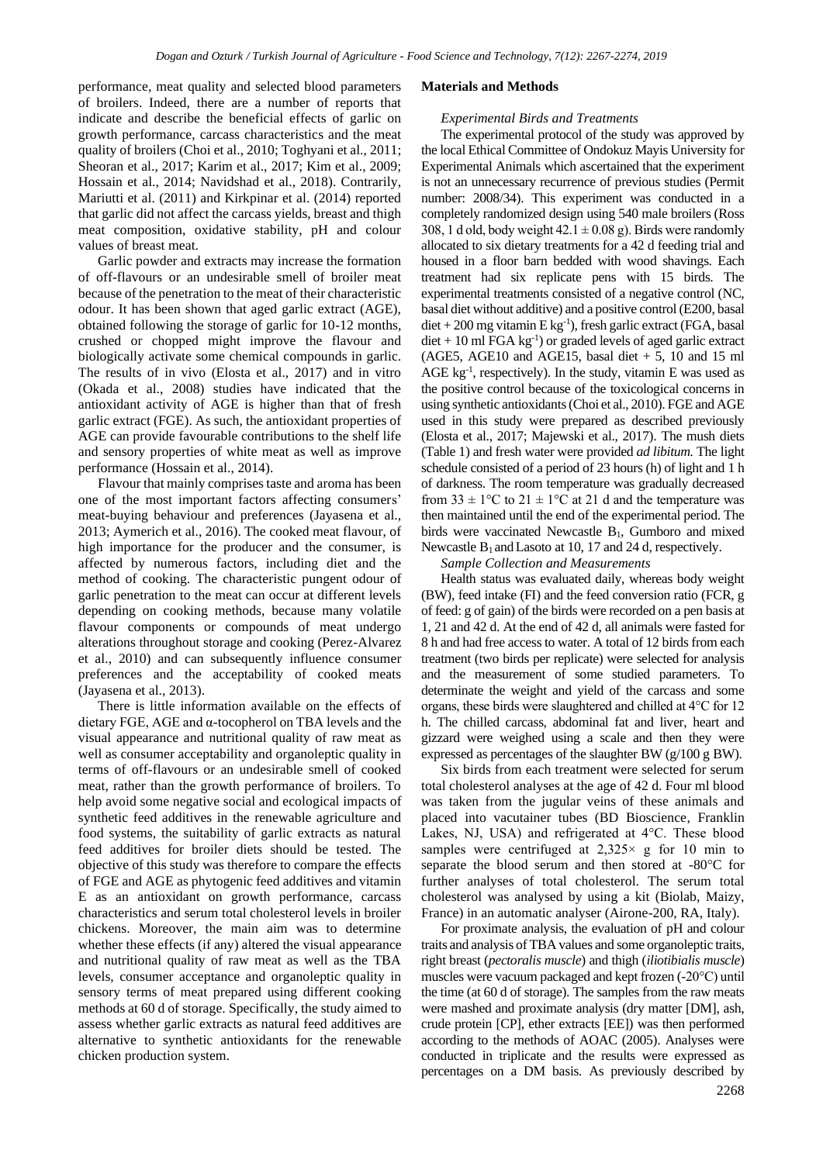performance, meat quality and selected blood parameters of broilers. Indeed, there are a number of reports that indicate and describe the beneficial effects of garlic on growth performance, carcass characteristics and the meat quality of broilers (Choi et al., 2010; Toghyani et al., 2011; Sheoran et al., 2017; Karim et al., 2017; Kim et al., 2009; Hossain et al., 2014; Navidshad et al., 2018). Contrarily, Mariutti et al. (2011) and Kirkpinar et al. (2014) reported that garlic did not affect the carcass yields, breast and thigh meat composition, oxidative stability, pH and colour values of breast meat.

Garlic powder and extracts may increase the formation of off-flavours or an undesirable smell of broiler meat because of the penetration to the meat of their characteristic odour. It has been shown that aged garlic extract (AGE), obtained following the storage of garlic for 10-12 months, crushed or chopped might improve the flavour and biologically activate some chemical compounds in garlic. The results of in vivo (Elosta et al., 2017) and in vitro (Okada et al., 2008) studies have indicated that the antioxidant activity of AGE is higher than that of fresh garlic extract (FGE). As such, the antioxidant properties of AGE can provide favourable contributions to the shelf life and sensory properties of white meat as well as improve performance (Hossain et al., 2014).

Flavour that mainly comprises taste and aroma has been one of the most important factors affecting consumers' meat-buying behaviour and preferences (Jayasena et al., 2013; Aymerich et al., 2016). The cooked meat flavour, of high importance for the producer and the consumer, is affected by numerous factors, including diet and the method of cooking. The characteristic pungent odour of garlic penetration to the meat can occur at different levels depending on cooking methods, because many volatile flavour components or compounds of meat undergo alterations throughout storage and cooking (Perez-Alvarez et al., 2010) and can subsequently influence consumer preferences and the acceptability of cooked meats (Jayasena et al., 2013).

There is little information available on the effects of dietary FGE, AGE and α-tocopherol on TBA levels and the visual appearance and nutritional quality of raw meat as well as consumer acceptability and organoleptic quality in terms of off-flavours or an undesirable smell of cooked meat, rather than the growth performance of broilers. To help avoid some negative social and ecological impacts of synthetic feed additives in the renewable agriculture and food systems, the suitability of garlic extracts as natural feed additives for broiler diets should be tested. The objective of this study was therefore to compare the effects of FGE and AGE as phytogenic feed additives and vitamin E as an antioxidant on growth performance, carcass characteristics and serum total cholesterol levels in broiler chickens. Moreover, the main aim was to determine whether these effects (if any) altered the visual appearance and nutritional quality of raw meat as well as the TBA levels, consumer acceptance and organoleptic quality in sensory terms of meat prepared using different cooking methods at 60 d of storage. Specifically, the study aimed to assess whether garlic extracts as natural feed additives are alternative to synthetic antioxidants for the renewable chicken production system.

#### **Materials and Methods**

### *Experimental Birds and Treatments*

The experimental protocol of the study was approved by the local Ethical Committee of Ondokuz Mayis University for Experimental Animals which ascertained that the experiment is not an unnecessary recurrence of previous studies (Permit number: 2008/34). This experiment was conducted in a completely randomized design using 540 male broilers (Ross 308, 1 d old, body weight  $42.1 \pm 0.08$  g). Birds were randomly allocated to six dietary treatments for a 42 d feeding trial and housed in a floor barn bedded with wood shavings. Each treatment had six replicate pens with 15 birds. The experimental treatments consisted of a negative control (NC, basal diet without additive) and a positive control (E200, basal diet + 200 mg vitamin E kg-1 ), fresh garlic extract (FGA, basal  $\text{dist} + 10 \text{ ml FGA kg}^{-1}$  or graded levels of aged garlic extract  $(AGE5, AGE10, and AGE15, basal diet + 5, 10, and 15, ml)$ AGE  $kg^{-1}$ , respectively). In the study, vitamin E was used as the positive control because of the toxicological concerns in using synthetic antioxidants (Choi et al., 2010). FGE and AGE used in this study were prepared as described previously (Elosta et al., 2017; Majewski et al., 2017). The mush diets (Table 1) and fresh water were provided *ad libitum.* The light schedule consisted of a period of 23 hours (h) of light and 1 h of darkness. The room temperature was gradually decreased from  $33 \pm 1$ °C to  $21 \pm 1$ °C at 21 d and the temperature was then maintained until the end of the experimental period. The birds were vaccinated Newcastle  $B_1$ , Gumboro and mixed Newcastle B<sub>1</sub> and Lasoto at 10, 17 and 24 d, respectively.

## *Sample Collection and Measurements*

Health status was evaluated daily, whereas body weight (BW), feed intake (FI) and the feed conversion ratio (FCR, g of feed: g of gain) of the birds were recorded on a pen basis at 1, 21 and 42 d. At the end of 42 d, all animals were fasted for 8 h and had free access to water. A total of 12 birds from each treatment (two birds per replicate) were selected for analysis and the measurement of some studied parameters. To determinate the weight and yield of the carcass and some organs, these birds were slaughtered and chilled at 4°C for 12 h. The chilled carcass, abdominal fat and liver, heart and gizzard were weighed using a scale and then they were expressed as percentages of the slaughter BW (g/100 g BW).

Six birds from each treatment were selected for serum total cholesterol analyses at the age of 42 d. Four ml blood was taken from the jugular veins of these animals and placed into vacutainer tubes (BD Bioscience, Franklin Lakes, NJ, USA) and refrigerated at 4°C. These blood samples were centrifuged at  $2,325\times g$  for 10 min to separate the blood serum and then stored at -80°C for further analyses of total cholesterol. The serum total cholesterol was analysed by using a kit (Biolab, Maizy, France) in an automatic analyser (Airone-200, RA, Italy).

For proximate analysis, the evaluation of pH and colour traits and analysis of TBA values and some organoleptic traits, right breast (*pectoralis muscle*) and thigh (*iliotibialis muscle*) muscles were vacuum packaged and kept frozen (-20°C) until the time (at 60 d of storage). The samples from the raw meats were mashed and proximate analysis (dry matter [DM], ash, crude protein [CP], ether extracts [EE]) was then performed according to the methods of AOAC (2005). Analyses were conducted in triplicate and the results were expressed as percentages on a DM basis. As previously described by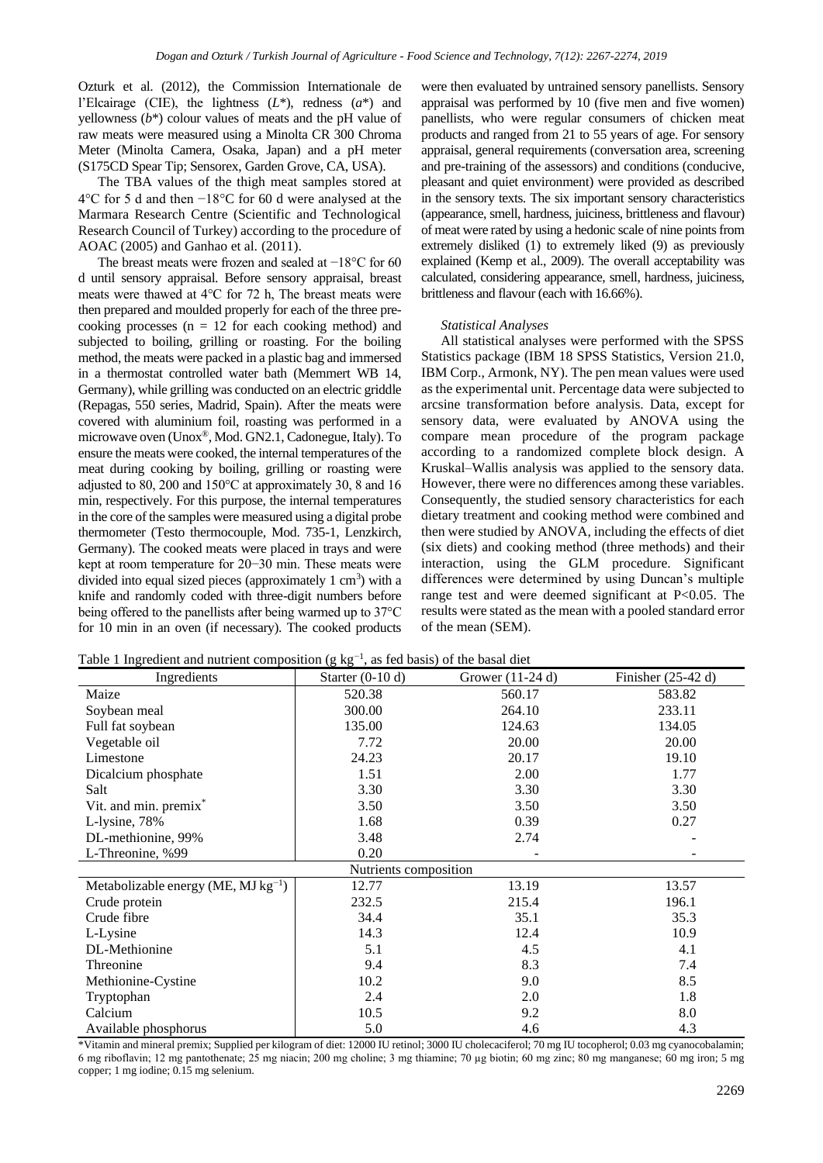Ozturk et al. (2012), the Commission Internationale de l'Elcairage (CIE), the lightness  $(L^*)$ , redness  $(a^*)$  and yellowness (*b*\*) colour values of meats and the pH value of raw meats were measured using a Minolta CR 300 Chroma Meter (Minolta Camera, Osaka, Japan) and a pH meter (S175CD Spear Tip; Sensorex, Garden Grove, CA, USA).

The TBA values of the thigh meat samples stored at 4 $\degree$ C for 5 d and then −18 $\degree$ C for 60 d were analysed at the Marmara Research Centre (Scientific and Technological Research Council of Turkey) according to the procedure of AOAC (2005) and Ganhao et al. (2011).

The breast meats were frozen and sealed at −18°C for 60 d until sensory appraisal. Before sensory appraisal, breast meats were thawed at 4°C for 72 h, The breast meats were then prepared and moulded properly for each of the three precooking processes ( $n = 12$  for each cooking method) and subjected to boiling, grilling or roasting. For the boiling method, the meats were packed in a plastic bag and immersed in a thermostat controlled water bath (Memmert WB 14, Germany), while grilling was conducted on an electric griddle (Repagas, 550 series, Madrid, Spain). After the meats were covered with aluminium foil, roasting was performed in a microwave oven (Unox®, Mod. GN2.1, Cadonegue, Italy). To ensure the meats were cooked, the internal temperatures of the meat during cooking by boiling, grilling or roasting were adjusted to 80, 200 and 150°C at approximately 30, 8 and 16 min, respectively. For this purpose, the internal temperatures in the core of the samples were measured using a digital probe thermometer (Testo thermocouple, Mod. 735-1, Lenzkirch, Germany). The cooked meats were placed in trays and were kept at room temperature for 20−30 min. These meats were divided into equal sized pieces (approximately  $1 \text{ cm}^3$ ) with a knife and randomly coded with three-digit numbers before being offered to the panellists after being warmed up to 37°C for 10 min in an oven (if necessary). The cooked products

were then evaluated by untrained sensory panellists. Sensory appraisal was performed by 10 (five men and five women) panellists, who were regular consumers of chicken meat products and ranged from 21 to 55 years of age. For sensory appraisal, general requirements (conversation area, screening and pre-training of the assessors) and conditions (conducive, pleasant and quiet environment) were provided as described in the sensory texts. The six important sensory characteristics (appearance, smell, hardness, juiciness, brittleness and flavour) of meat were rated by using a hedonic scale of nine points from extremely disliked (1) to extremely liked (9) as previously explained (Kemp et al., 2009). The overall acceptability was calculated, considering appearance, smell, hardness, juiciness, brittleness and flavour (each with 16.66%).

## *Statistical Analyses*

All statistical analyses were performed with the SPSS Statistics package (IBM 18 SPSS Statistics, Version 21.0, IBM Corp., Armonk, NY). The pen mean values were used as the experimental unit. Percentage data were subjected to arcsine transformation before analysis. Data, except for sensory data, were evaluated by ANOVA using the compare mean procedure of the program package according to a randomized complete block design. A Kruskal–Wallis analysis was applied to the sensory data. However, there were no differences among these variables. Consequently, the studied sensory characteristics for each dietary treatment and cooking method were combined and then were studied by ANOVA, including the effects of diet (six diets) and cooking method (three methods) and their interaction, using the GLM procedure. Significant differences were determined by using Duncan's multiple range test and were deemed significant at P<0.05. The results were stated as the mean with a pooled standard error of the mean (SEM).

Table 1 Ingredient and nutrient composition (g  $kg^{-1}$ , as fed basis) of the basal diet

| Ingredients                              | Starter $(0-10 d)$    | Grower (11-24 d) | Finisher $(25-42 d)$ |
|------------------------------------------|-----------------------|------------------|----------------------|
| Maize                                    | 520.38                | 560.17           | 583.82               |
| Soybean meal                             | 300.00                | 264.10           | 233.11               |
| Full fat soybean                         | 135.00                | 124.63           | 134.05               |
| Vegetable oil                            | 7.72                  | 20.00            | 20.00                |
| Limestone                                | 24.23                 | 20.17            | 19.10                |
| Dicalcium phosphate                      | 1.51                  | 2.00             | 1.77                 |
| Salt                                     | 3.30                  | 3.30             | 3.30                 |
| Vit. and min. premix*                    | 3.50                  | 3.50             | 3.50                 |
| L-lysine, 78%                            | 1.68                  | 0.39             | 0.27                 |
| DL-methionine, 99%                       | 3.48                  | 2.74             |                      |
| L-Threonine, %99                         | 0.20                  |                  |                      |
|                                          | Nutrients composition |                  |                      |
| Metabolizable energy (ME, MJ $kg^{-1}$ ) | 12.77                 | 13.19            | 13.57                |
| Crude protein                            | 232.5                 | 215.4            | 196.1                |
| Crude fibre                              | 34.4                  | 35.1             | 35.3                 |
| L-Lysine                                 | 14.3                  | 12.4             | 10.9                 |
| DL-Methionine                            | 5.1                   | 4.5              | 4.1                  |
| Threonine                                | 9.4                   | 8.3              | 7.4                  |
| Methionine-Cystine                       | 10.2                  | 9.0              | 8.5                  |
| Tryptophan                               | 2.4                   | 2.0              | 1.8                  |
| Calcium                                  | 10.5                  | 9.2              | 8.0                  |
| Available phosphorus                     | 5.0                   | 4.6              | 4.3                  |

\*Vitamin and mineral premix; Supplied per kilogram of diet: 12000 IU retinol; 3000 IU cholecaciferol; 70 mg IU tocopherol; 0.03 mg cyanocobalamin; 6 mg riboflavin; 12 mg pantothenate; 25 mg niacin; 200 mg choline; 3 mg thiamine; 70 µg biotin; 60 mg zinc; 80 mg manganese; 60 mg iron; 5 mg copper; 1 mg iodine; 0.15 mg selenium.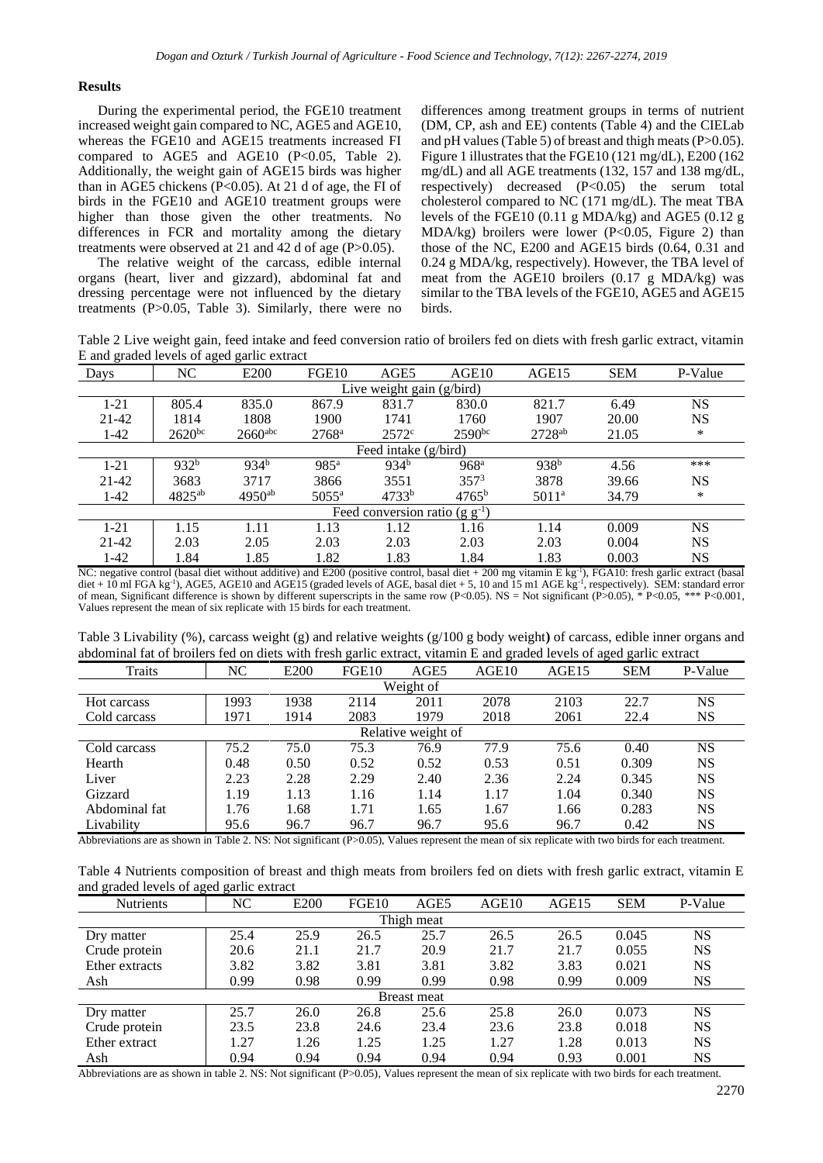## **Results**

During the experimental period, the FGE10 treatment increased weight gain compared to NC, AGE5 and AGE10, whereas the FGE10 and AGE15 treatments increased FI compared to AGE5 and AGE10 (P<0.05, Table 2). Additionally, the weight gain of AGE15 birds was higher than in AGE5 chickens (P<0.05). At 21 d of age, the FI of birds in the FGE10 and AGE10 treatment groups were higher than those given the other treatments. No differences in FCR and mortality among the dietary treatments were observed at 21 and 42 d of age (P>0.05).

The relative weight of the carcass, edible internal organs (heart, liver and gizzard), abdominal fat and dressing percentage were not influenced by the dietary treatments (P>0.05, Table 3). Similarly, there were no differences among treatment groups in terms of nutrient (DM, CP, ash and EE) contents (Table 4) and the CIELab and pH values (Table 5) of breast and thigh meats (P>0.05). Figure 1 illustrates that the FGE10 (121 mg/dL), E200 (162 mg/dL) and all AGE treatments (132, 157 and 138 mg/dL, respectively) decreased (P<0.05) the serum total cholesterol compared to NC (171 mg/dL). The meat TBA levels of the FGE10  $(0.11 \text{ g} \text{ MDA/kg})$  and AGE5  $(0.12 \text{ g} \text{ m}^2)$ MDA/kg) broilers were lower ( $P<0.05$ , Figure 2) than those of the NC, E200 and AGE15 birds (0.64, 0.31 and 0.24 g MDA/kg, respectively). However, the TBA level of meat from the AGE10 broilers (0.17 g MDA/kg) was similar to the TBA levels of the FGE10, AGE5 and AGE15 birds.

Table 2 Live weight gain, feed intake and feed conversion ratio of broilers fed on diets with fresh garlic extract, vitamin E and graded levels of aged garlic extract

| Days                      | NC          | E <sub>200</sub>      | FGE <sub>10</sub> | AGE5                                | AGE10            | AGE15                | <b>SEM</b> | P-Value   |  |  |  |
|---------------------------|-------------|-----------------------|-------------------|-------------------------------------|------------------|----------------------|------------|-----------|--|--|--|
| Live weight gain (g/bird) |             |                       |                   |                                     |                  |                      |            |           |  |  |  |
| $1 - 21$                  | 805.4       | 835.0                 | 867.9             | 831.7                               | 830.0            | 821.7                | 6.49       | <b>NS</b> |  |  |  |
| 21-42                     | 1814        | 1808                  | 1900              | 1741                                | 1760             | 1907                 | 20.00      | <b>NS</b> |  |  |  |
| $1-42$                    | $2620^{bc}$ | $2660$ <sup>abc</sup> | $2768^{\rm a}$    | 2572 <sup>c</sup>                   | $2590^{bc}$      | $2728$ <sup>ab</sup> | 21.05      | $\ast$    |  |  |  |
| Feed intake (g/bird)      |             |                       |                   |                                     |                  |                      |            |           |  |  |  |
| $1 - 21$                  | $932^{b}$   | $934^{b}$             | 985 <sup>a</sup>  | $934^{b}$                           | 968 <sup>a</sup> | 938 <sup>b</sup>     | 4.56       | ***       |  |  |  |
| 21-42                     | 3683        | 3717                  | 3866              | 3551                                | $357^3$          | 3878                 | 39.66      | <b>NS</b> |  |  |  |
| $1 - 42$                  | $4825^{ab}$ | $4950^{ab}$           | $5055^{\rm a}$    | 4733 <sup>b</sup>                   | $4765^{\rm b}$   | $5011^a$             | 34.79      | $\ast$    |  |  |  |
|                           |             |                       |                   | Feed conversion ratio (g $g^{-1}$ ) |                  |                      |            |           |  |  |  |
| $1 - 21$                  | 1.15        | 1.11                  | 1.13              | 1.12                                | 1.16             | 1.14                 | 0.009      | <b>NS</b> |  |  |  |
| 21-42                     | 2.03        | 2.05                  | 2.03              | 2.03                                | 2.03             | 2.03                 | 0.004      | <b>NS</b> |  |  |  |
| $1 - 42$                  | 1.84        | 1.85                  | 1.82              | 1.83                                | 1.84             | 1.83                 | 0.003      | NS        |  |  |  |

NC: negative control (basal diet without additive) and E200 (positive control, basal diet + 200 mg vitamin E kg<sup>-1</sup>), FGA10: fresh garlic extract (basal diet + 10 ml FGA kg<sup>-1</sup>), AGE5, AGE10 and AGE15 (graded levels of AGE, basal diet + 5, 10 and 15 ml AGE kg<sup>-1</sup>, respectively). SEM: standard error of mean, Significant difference is shown by different superscripts in the same row (P<0.05). NS = Not significant (P>0.05), \*P<0.05, \*\*\* P<0.001, Values represent the mean of six replicate with 15 birds for each treatment.

| Traits             | NC   | E <sub>200</sub> | ັ<br>FGE <sub>10</sub> | AGE5 | AGE10 | AGE15 | ັ<br>ັ<br><b>SEM</b> | P-Value   |  |  |
|--------------------|------|------------------|------------------------|------|-------|-------|----------------------|-----------|--|--|
|                    |      |                  |                        |      |       |       |                      |           |  |  |
| Weight of          |      |                  |                        |      |       |       |                      |           |  |  |
| Hot carcass        | 1993 | 1938             | 2114                   | 2011 | 2078  | 2103  | 22.7                 | <b>NS</b> |  |  |
| Cold carcass       | 1971 | 1914             | 2083                   | 1979 | 2018  | 2061  | 22.4                 | <b>NS</b> |  |  |
| Relative weight of |      |                  |                        |      |       |       |                      |           |  |  |
| Cold carcass       | 75.2 | 75.0             | 75.3                   | 76.9 | 77.9  | 75.6  | 0.40                 | <b>NS</b> |  |  |
| Hearth             | 0.48 | 0.50             | 0.52                   | 0.52 | 0.53  | 0.51  | 0.309                | <b>NS</b> |  |  |
| Liver              | 2.23 | 2.28             | 2.29                   | 2.40 | 2.36  | 2.24  | 0.345                | <b>NS</b> |  |  |
| Gizzard            | 1.19 | 1.13             | 1.16                   | 1.14 | 1.17  | 1.04  | 0.340                | <b>NS</b> |  |  |
| Abdominal fat      | 1.76 | 1.68             | 1.71                   | 1.65 | 1.67  | 1.66  | 0.283                | <b>NS</b> |  |  |
| Livability         | 95.6 | 96.7             | 96.7                   | 96.7 | 95.6  | 96.7  | 0.42                 | <b>NS</b> |  |  |

Table 3 Livability (%), carcass weight (g) and relative weights (g/100 g body weight**)** of carcass, edible inner organs and abdominal fat of broilers fed on diets with fresh garlic extract, vitamin E and graded levels of aged garlic extract

Abbreviations are as shown in Table 2. NS: Not significant (P>0.05), Values represent the mean of six replicate with two birds for each treatment.

Table 4 Nutrients composition of breast and thigh meats from broilers fed on diets with fresh garlic extract, vitamin E and graded levels of aged garlic extract

| and graded to vois or aged garne extract |      |                  |                   |             |       |       |            |           |  |  |
|------------------------------------------|------|------------------|-------------------|-------------|-------|-------|------------|-----------|--|--|
| <b>Nutrients</b>                         | NC   | E <sub>200</sub> | FGE <sub>10</sub> | AGE5        | AGE10 | AGE15 | <b>SEM</b> | P-Value   |  |  |
| Thigh meat                               |      |                  |                   |             |       |       |            |           |  |  |
| Dry matter                               | 25.4 | 25.9             | 26.5              | 25.7        | 26.5  | 26.5  | 0.045      | <b>NS</b> |  |  |
| Crude protein                            | 20.6 | 21.1             | 21.7              | 20.9        | 21.7  | 21.7  | 0.055      | <b>NS</b> |  |  |
| Ether extracts                           | 3.82 | 3.82             | 3.81              | 3.81        | 3.82  | 3.83  | 0.021      | <b>NS</b> |  |  |
| Ash                                      | 0.99 | 0.98             | 0.99              | 0.99        | 0.98  | 0.99  | 0.009      | <b>NS</b> |  |  |
|                                          |      |                  |                   | Breast meat |       |       |            |           |  |  |
| Dry matter                               | 25.7 | 26.0             | 26.8              | 25.6        | 25.8  | 26.0  | 0.073      | NS        |  |  |
| Crude protein                            | 23.5 | 23.8             | 24.6              | 23.4        | 23.6  | 23.8  | 0.018      | <b>NS</b> |  |  |
| Ether extract                            | 1.27 | 1.26             | 1.25              | 1.25        | 1.27  | 1.28  | 0.013      | <b>NS</b> |  |  |
| Ash                                      | 0.94 | 0.94             | 0.94              | 0.94        | 0.94  | 0.93  | 0.001      | NS        |  |  |

Abbreviations are as shown in table 2. NS: Not significant (P>0.05), Values represent the mean of six replicate with two birds for each treatment.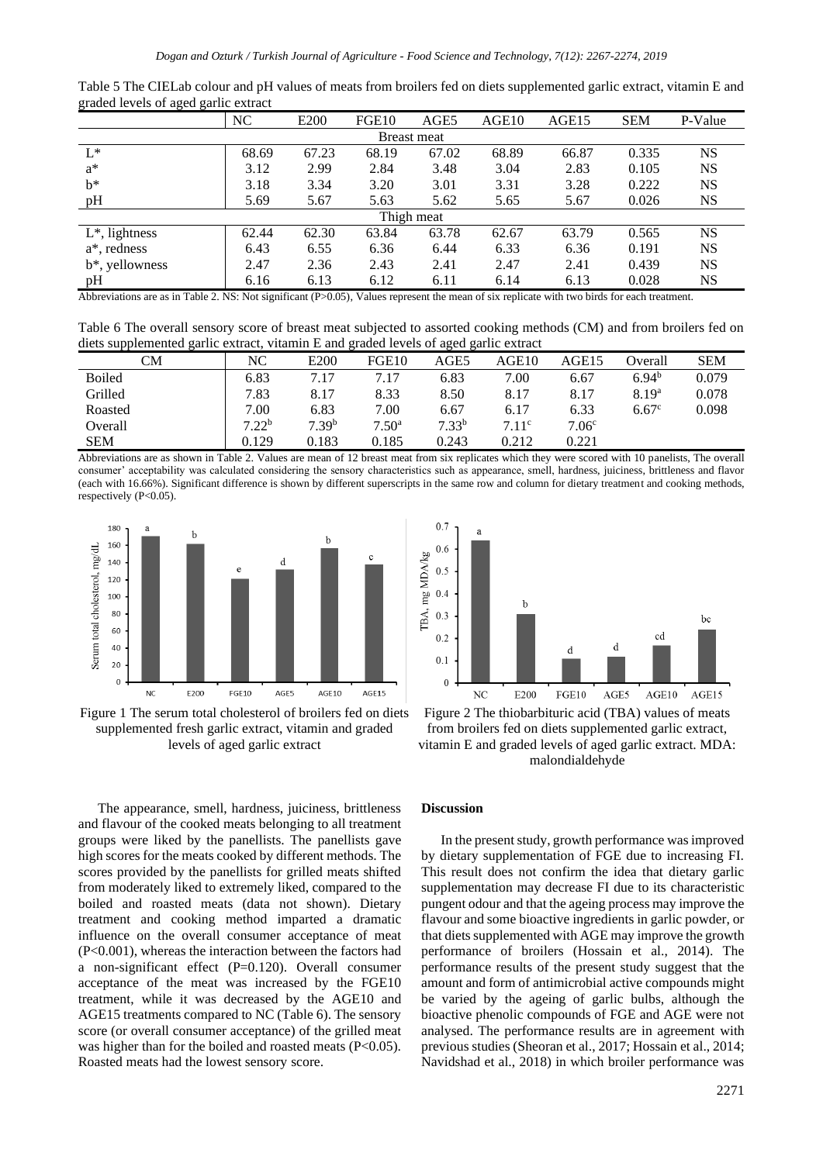|                   | NC    | E <sub>200</sub> | FGE <sub>10</sub> | AGE5       | AGE10 | AGE15 | <b>SEM</b> | P-Value   |  |
|-------------------|-------|------------------|-------------------|------------|-------|-------|------------|-----------|--|
| Breast meat       |       |                  |                   |            |       |       |            |           |  |
| $L^*$             | 68.69 | 67.23            | 68.19             | 67.02      | 68.89 | 66.87 | 0.335      | <b>NS</b> |  |
| $a^*$             | 3.12  | 2.99             | 2.84              | 3.48       | 3.04  | 2.83  | 0.105      | <b>NS</b> |  |
| $b^*$             | 3.18  | 3.34             | 3.20              | 3.01       | 3.31  | 3.28  | 0.222      | <b>NS</b> |  |
| pH                | 5.69  | 5.67             | 5.63              | 5.62       | 5.65  | 5.67  | 0.026      | NS        |  |
|                   |       |                  |                   | Thigh meat |       |       |            |           |  |
| $L^*$ , lightness | 62.44 | 62.30            | 63.84             | 63.78      | 62.67 | 63.79 | 0.565      | <b>NS</b> |  |
| a*, redness       | 6.43  | 6.55             | 6.36              | 6.44       | 6.33  | 6.36  | 0.191      | <b>NS</b> |  |
| b*, yellowness    | 2.47  | 2.36             | 2.43              | 2.41       | 2.47  | 2.41  | 0.439      | <b>NS</b> |  |
| pH                | 6.16  | 6.13             | 6.12              | 6.11       | 6.14  | 6.13  | 0.028      | NS        |  |

Table 5 The CIELab colour and pH values of meats from broilers fed on diets supplemented garlic extract, vitamin E and graded levels of aged garlic extract

Abbreviations are as in Table 2. NS: Not significant (P>0.05), Values represent the mean of six replicate with two birds for each treatment.

Table 6 The overall sensory score of breast meat subjected to assorted cooking methods (CM) and from broilers fed on diets supplemented garlic extract, vitamin E and graded levels of aged garlic extract

| CМ            | NC                | E <sub>200</sub>  | FGE <sub>10</sub> | AGE5              | AGE10 | AGE15             | Overall           | <b>SEM</b> |
|---------------|-------------------|-------------------|-------------------|-------------------|-------|-------------------|-------------------|------------|
| <b>Boiled</b> | 6.83              | 7.17              | 7.17              | 6.83              | 7.00  | 6.67              | 6.94 <sup>b</sup> | 0.079      |
| Grilled       | 7.83              | 8.17              | 8.33              | 8.50              | 8.17  | 8.17              | 8.19 <sup>a</sup> | 0.078      |
| Roasted       | 7.00              | 6.83              | 7.00              | 6.67              | 6.17  | 6.33              | 6.67 <sup>c</sup> | 0.098      |
| Overall       | 7.22 <sup>b</sup> | 7.39 <sup>b</sup> | 7.50 <sup>a</sup> | 7.33 <sup>b</sup> | 7.11c | 7.06 <sup>c</sup> |                   |            |
| <b>SEM</b>    | 0.129             | 0.183             | 0.185             | 0.243             | 0.212 | 0.221             |                   |            |

Abbreviations are as shown in Table 2. Values are mean of 12 breast meat from six replicates which they were scored with 10 panelists, The overall consumer' acceptability was calculated considering the sensory characteristics such as appearance, smell, hardness, juiciness, brittleness and flavor (each with 16.66%). Significant difference is shown by different superscripts in the same row and column for dietary treatment and cooking methods, respectively (P<0.05).





Figure 1 The serum total cholesterol of broilers fed on diets supplemented fresh garlic extract, vitamin and graded levels of aged garlic extract

Figure 2 The thiobarbituric acid (TBA) values of meats from broilers fed on diets supplemented garlic extract, vitamin E and graded levels of aged garlic extract. MDA: malondialdehyde

The appearance, smell, hardness, juiciness, brittleness and flavour of the cooked meats belonging to all treatment groups were liked by the panellists. The panellists gave high scores for the meats cooked by different methods. The scores provided by the panellists for grilled meats shifted from moderately liked to extremely liked, compared to the boiled and roasted meats (data not shown). Dietary treatment and cooking method imparted a dramatic influence on the overall consumer acceptance of meat (P<0.001), whereas the interaction between the factors had a non-significant effect (P=0.120). Overall consumer acceptance of the meat was increased by the FGE10 treatment, while it was decreased by the AGE10 and AGE15 treatments compared to NC (Table 6). The sensory score (or overall consumer acceptance) of the grilled meat was higher than for the boiled and roasted meats (P<0.05). Roasted meats had the lowest sensory score.

#### **Discussion**

In the present study, growth performance was improved by dietary supplementation of FGE due to increasing FI. This result does not confirm the idea that dietary garlic supplementation may decrease FI due to its characteristic pungent odour and that the ageing process may improve the flavour and some bioactive ingredients in garlic powder, or that diets supplemented with AGE may improve the growth performance of broilers (Hossain et al., 2014). The performance results of the present study suggest that the amount and form of antimicrobial active compounds might be varied by the ageing of garlic bulbs, although the bioactive phenolic compounds of FGE and AGE were not analysed. The performance results are in agreement with previous studies (Sheoran et al., 2017; Hossain et al., 2014; Navidshad et al., 2018) in which broiler performance was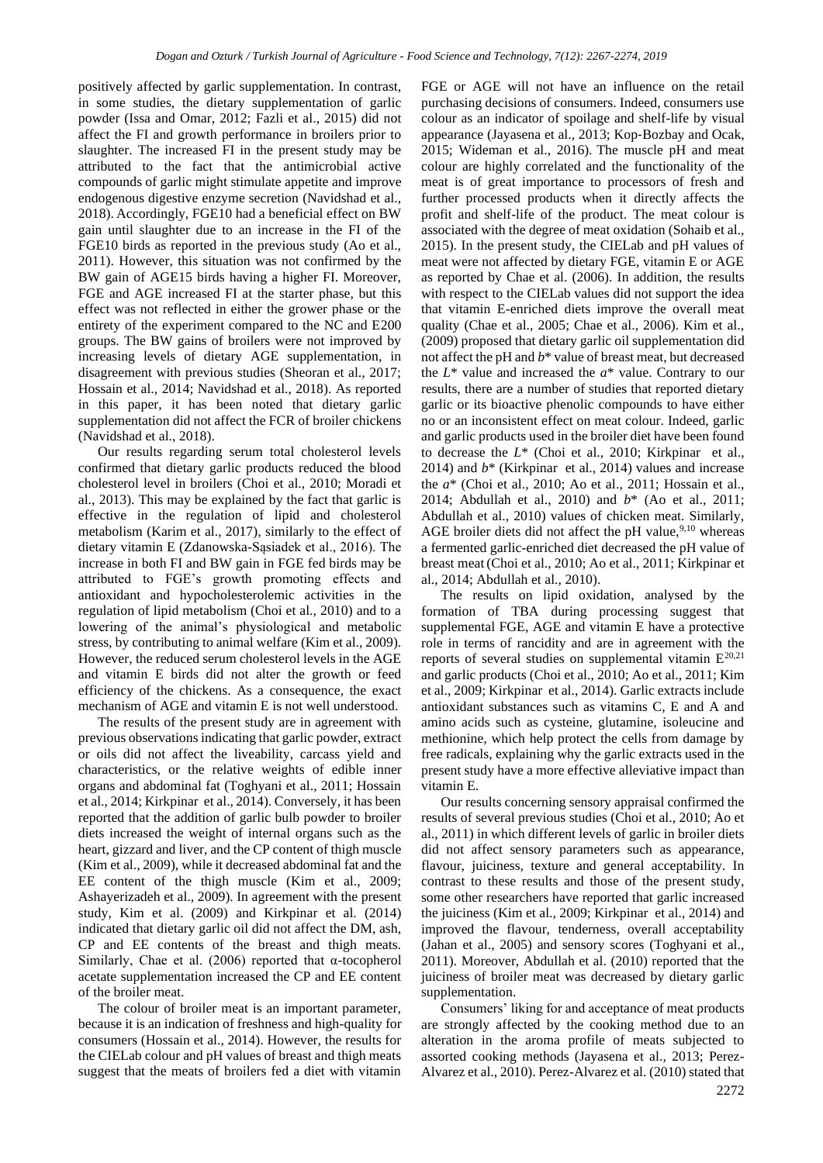positively affected by garlic supplementation. In contrast, in some studies, the dietary supplementation of garlic powder (Issa and Omar, 2012; Fazli et al., 2015) did not affect the FI and growth performance in broilers prior to slaughter. The increased FI in the present study may be attributed to the fact that the antimicrobial active compounds of garlic might stimulate appetite and improve endogenous digestive enzyme secretion (Navidshad et al., 2018). Accordingly, FGE10 had a beneficial effect on BW gain until slaughter due to an increase in the FI of the FGE10 birds as reported in the previous study (Ao et al., 2011). However, this situation was not confirmed by the BW gain of AGE15 birds having a higher FI. Moreover, FGE and AGE increased FI at the starter phase, but this effect was not reflected in either the grower phase or the entirety of the experiment compared to the NC and E200 groups. The BW gains of broilers were not improved by increasing levels of dietary AGE supplementation, in disagreement with previous studies (Sheoran et al., 2017; Hossain et al., 2014; Navidshad et al., 2018). As reported in this paper, it has been noted that dietary garlic supplementation did not affect the FCR of broiler chickens (Navidshad et al., 2018).

Our results regarding serum total cholesterol levels confirmed that dietary garlic products reduced the blood cholesterol level in broilers (Choi et al., 2010; Moradi et al., 2013). This may be explained by the fact that garlic is effective in the regulation of lipid and cholesterol metabolism (Karim et al., 2017), similarly to the effect of dietary vitamin E (Zdanowska-Sąsiadek et al., 2016). The increase in both FI and BW gain in FGE fed birds may be attributed to FGE's growth promoting effects and antioxidant and hypocholesterolemic activities in the regulation of lipid metabolism (Choi et al., 2010) and to a lowering of the animal's physiological and metabolic stress, by contributing to animal welfare (Kim et al., 2009). However, the reduced serum cholesterol levels in the AGE and vitamin E birds did not alter the growth or feed efficiency of the chickens. As a consequence, the exact mechanism of AGE and vitamin E is not well understood.

The results of the present study are in agreement with previous observations indicating that garlic powder, extract or oils did not affect the liveability, carcass yield and characteristics, or the relative weights of edible inner organs and abdominal fat (Toghyani et al., 2011; Hossain et al., 2014; Kirkpinar et al., 2014). Conversely, it has been reported that the addition of garlic bulb powder to broiler diets increased the weight of internal organs such as the heart, gizzard and liver, and the CP content of thigh muscle (Kim et al., 2009), while it decreased abdominal fat and the EE content of the thigh muscle (Kim et al., 2009; Ashayerizadeh et al., 2009). In agreement with the present study, Kim et al. (2009) and Kirkpinar et al. (2014) indicated that dietary garlic oil did not affect the DM, ash, CP and EE contents of the breast and thigh meats. Similarly, Chae et al. (2006) reported that  $\alpha$ -tocopherol acetate supplementation increased the CP and EE content of the broiler meat.

The colour of broiler meat is an important parameter, because it is an indication of freshness and high-quality for consumers (Hossain et al., 2014). However, the results for the CIELab colour and pH values of breast and thigh meats suggest that the meats of broilers fed a diet with vitamin FGE or AGE will not have an influence on the retail purchasing decisions of consumers. Indeed, consumers use colour as an indicator of spoilage and shelf-life by visual appearance (Jayasena et al., 2013; Kop‐Bozbay and Ocak, 2015; Wideman et al., 2016). The muscle pH and meat colour are highly correlated and the functionality of the meat is of great importance to processors of fresh and further processed products when it directly affects the profit and shelf-life of the product. The meat colour is associated with the degree of meat oxidation (Sohaib et al., 2015). In the present study, the CIELab and pH values of meat were not affected by dietary FGE, vitamin E or AGE as reported by Chae et al. (2006). In addition, the results with respect to the CIELab values did not support the idea that vitamin E-enriched diets improve the overall meat quality (Chae et al., 2005; Chae et al., 2006). Kim et al., (2009) proposed that dietary garlic oil supplementation did not affect the pH and *b*\* value of breast meat, but decreased the *L*\* value and increased the *a*\* value. Contrary to our results, there are a number of studies that reported dietary garlic or its bioactive phenolic compounds to have either no or an inconsistent effect on meat colour. Indeed, garlic and garlic products used in the broiler diet have been found to decrease the *L*\* (Choi et al., 2010; Kirkpinar et al., 2014) and *b*\* (Kirkpinar et al., 2014) values and increase the *a*\* (Choi et al., 2010; Ao et al., 2011; Hossain et al., 2014; Abdullah et al., 2010) and *b*\* (Ao et al., 2011; Abdullah et al., 2010) values of chicken meat. Similarly, AGE broiler diets did not affect the pH value,  $9,10$  whereas a fermented garlic-enriched diet decreased the pH value of breast meat(Choi et al., 2010; Ao et al., 2011; Kirkpinar et al., 2014; Abdullah et al., 2010).

The results on lipid oxidation, analysed by the formation of TBA during processing suggest that supplemental FGE, AGE and vitamin E have a protective role in terms of rancidity and are in agreement with the reports of several studies on supplemental vitamin  $E^{20,21}$ and garlic products (Choi et al., 2010; Ao et al., 2011; Kim et al., 2009; Kirkpinar et al., 2014). Garlic extracts include antioxidant substances such as vitamins C, E and A and amino acids such as cysteine, glutamine, isoleucine and methionine, which help protect the cells from damage by free radicals, explaining why the garlic extracts used in the present study have a more effective alleviative impact than vitamin E.

Our results concerning sensory appraisal confirmed the results of several previous studies (Choi et al., 2010; Ao et al., 2011) in which different levels of garlic in broiler diets did not affect sensory parameters such as appearance, flavour, juiciness, texture and general acceptability. In contrast to these results and those of the present study, some other researchers have reported that garlic increased the juiciness (Kim et al., 2009; Kirkpinar et al., 2014) and improved the flavour, tenderness, overall acceptability (Jahan et al., 2005) and sensory scores (Toghyani et al., 2011). Moreover, Abdullah et al. (2010) reported that the juiciness of broiler meat was decreased by dietary garlic supplementation.

Consumers' liking for and acceptance of meat products are strongly affected by the cooking method due to an alteration in the aroma profile of meats subjected to assorted cooking methods (Jayasena et al., 2013; Perez-Alvarez et al., 2010). Perez-Alvarez et al. (2010) stated that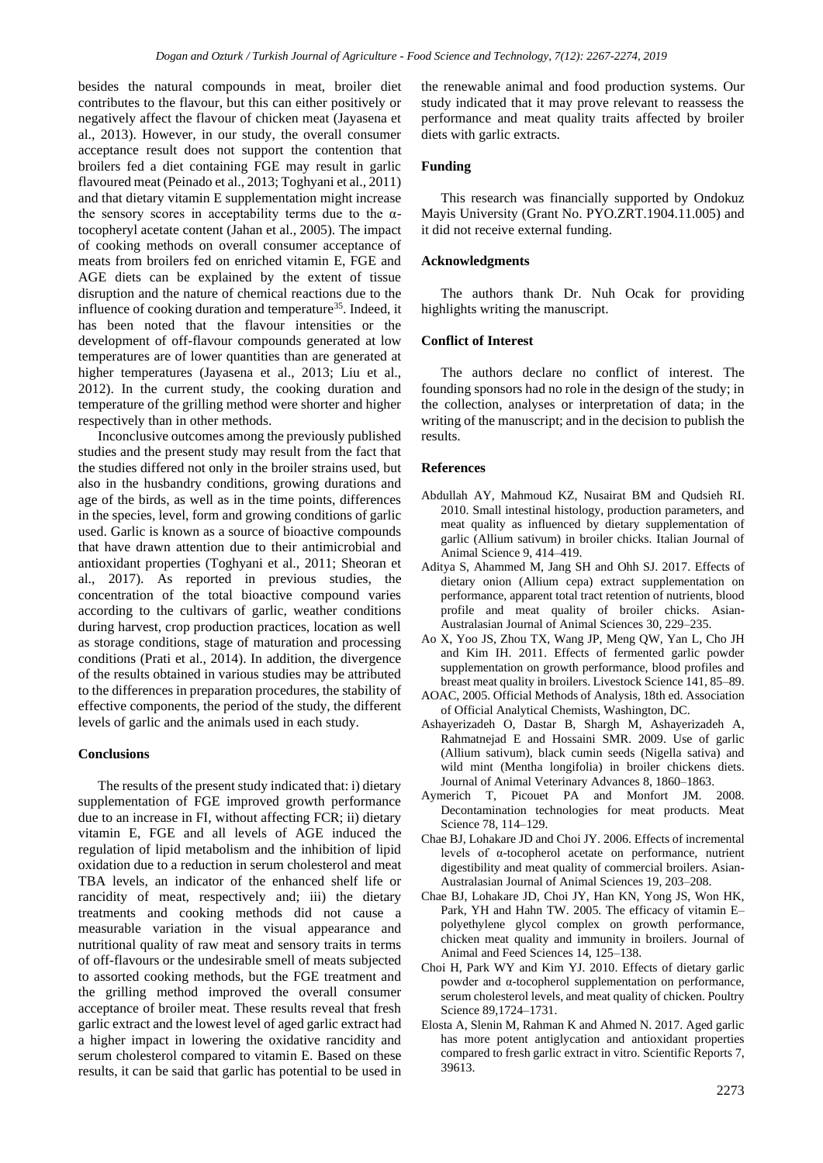besides the natural compounds in meat, broiler diet contributes to the flavour, but this can either positively or negatively affect the flavour of chicken meat (Jayasena et al., 2013). However, in our study, the overall consumer acceptance result does not support the contention that broilers fed a diet containing FGE may result in garlic flavoured meat (Peinado et al., 2013; Toghyani et al., 2011) and that dietary vitamin E supplementation might increase the sensory scores in acceptability terms due to the  $\alpha$ tocopheryl acetate content (Jahan et al., 2005). The impact of cooking methods on overall consumer acceptance of meats from broilers fed on enriched vitamin E, FGE and AGE diets can be explained by the extent of tissue disruption and the nature of chemical reactions due to the influence of cooking duration and temperature<sup>35</sup>. Indeed, it has been noted that the flavour intensities or the development of off-flavour compounds generated at low temperatures are of lower quantities than are generated at higher temperatures (Jayasena et al., 2013; Liu et al., 2012). In the current study, the cooking duration and temperature of the grilling method were shorter and higher respectively than in other methods.

Inconclusive outcomes among the previously published studies and the present study may result from the fact that the studies differed not only in the broiler strains used, but also in the husbandry conditions, growing durations and age of the birds, as well as in the time points, differences in the species, level, form and growing conditions of garlic used. Garlic is known as a source of bioactive compounds that have drawn attention due to their antimicrobial and antioxidant properties (Toghyani et al., 2011; Sheoran et al., 2017). As reported in previous studies, the concentration of the total bioactive compound varies according to the cultivars of garlic, weather conditions during harvest, crop production practices, location as well as storage conditions, stage of maturation and processing conditions (Prati et al., 2014). In addition, the divergence of the results obtained in various studies may be attributed to the differences in preparation procedures, the stability of effective components, the period of the study, the different levels of garlic and the animals used in each study.

### **Conclusions**

The results of the present study indicated that: i) dietary supplementation of FGE improved growth performance due to an increase in FI, without affecting FCR; ii) dietary vitamin E, FGE and all levels of AGE induced the regulation of lipid metabolism and the inhibition of lipid oxidation due to a reduction in serum cholesterol and meat TBA levels, an indicator of the enhanced shelf life or rancidity of meat, respectively and; iii) the dietary treatments and cooking methods did not cause a measurable variation in the visual appearance and nutritional quality of raw meat and sensory traits in terms of off-flavours or the undesirable smell of meats subjected to assorted cooking methods, but the FGE treatment and the grilling method improved the overall consumer acceptance of broiler meat. These results reveal that fresh garlic extract and the lowest level of aged garlic extract had a higher impact in lowering the oxidative rancidity and serum cholesterol compared to vitamin E. Based on these results, it can be said that garlic has potential to be used in

the renewable animal and food production systems. Our study indicated that it may prove relevant to reassess the performance and meat quality traits affected by broiler diets with garlic extracts.

## **Funding**

This research was financially supported by Ondokuz Mayis University (Grant No. PYO.ZRT.1904.11.005) and it did not receive external funding.

#### **Acknowledgments**

The authors thank Dr. Nuh Ocak for providing highlights writing the manuscript.

# **Conflict of Interest**

The authors declare no conflict of interest. The founding sponsors had no role in the design of the study; in the collection, analyses or interpretation of data; in the writing of the manuscript; and in the decision to publish the results.

#### **References**

- Abdullah AY, Mahmoud KZ, Nusairat BM and Qudsieh RI. 2010. Small intestinal histology, production parameters, and meat quality as influenced by dietary supplementation of garlic (Allium sativum) in broiler chicks. Italian Journal of Animal Science 9, 414–419.
- Aditya S, Ahammed M, Jang SH and Ohh SJ. 2017. Effects of dietary onion (Allium cepa) extract supplementation on performance, apparent total tract retention of nutrients, blood profile and meat quality of broiler chicks. Asian-Australasian Journal of Animal Sciences 30, 229–235.
- Ao X, Yoo JS, Zhou TX, Wang JP, Meng QW, Yan L, Cho JH and Kim IH. 2011. Effects of fermented garlic powder supplementation on growth performance, blood profiles and breast meat quality in broilers. Livestock Science 141, 85–89.
- AOAC, 2005. Official Methods of Analysis, 18th ed. Association of Official Analytical Chemists, Washington, DC.
- Ashayerizadeh O, Dastar B, Shargh M, Ashayerizadeh A, Rahmatnejad E and Hossaini SMR. 2009. Use of garlic (Allium sativum), black cumin seeds (Nigella sativa) and wild mint (Mentha longifolia) in broiler chickens diets. Journal of Animal Veterinary Advances 8, 1860–1863.
- Aymerich T, Picouet PA and Monfort JM. 2008. Decontamination technologies for meat products. Meat Science 78, 114–129.
- Chae BJ, Lohakare JD and Choi JY. 2006. Effects of incremental levels of α-tocopherol acetate on performance, nutrient digestibility and meat quality of commercial broilers. Asian-Australasian Journal of Animal Sciences 19, 203–208.
- Chae BJ, Lohakare JD, Choi JY, Han KN, Yong JS, Won HK, Park, YH and Hahn TW. 2005. The efficacy of vitamin E– polyethylene glycol complex on growth performance, chicken meat quality and immunity in broilers. Journal of Animal and Feed Sciences 14, 125–138.
- Choi H, Park WY and Kim YJ. 2010. Effects of dietary garlic powder and α-tocopherol supplementation on performance, serum cholesterol levels, and meat quality of chicken. Poultry Science 89,1724–1731.
- Elosta A, Slenin M, Rahman K and Ahmed N. 2017. Aged garlic has more potent antiglycation and antioxidant properties compared to fresh garlic extract in vitro. Scientific Reports 7, 39613.